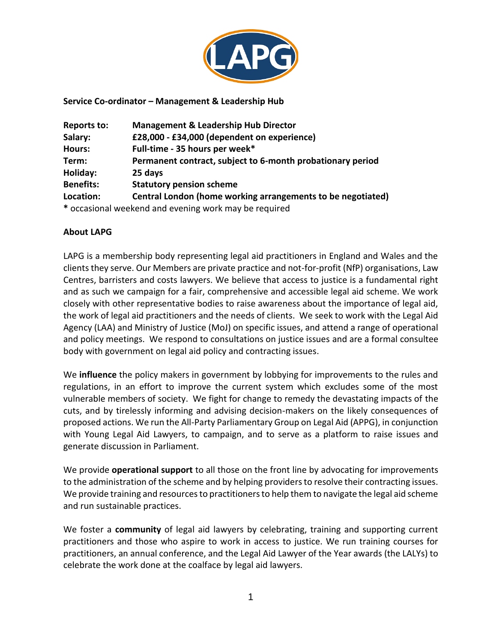

#### **Service Co-ordinator – Management & Leadership Hub**

| <b>Reports to:</b> | <b>Management &amp; Leadership Hub Director</b>             |  |  |
|--------------------|-------------------------------------------------------------|--|--|
| Salary:            | £28,000 - £34,000 (dependent on experience)                 |  |  |
| Hours:             | Full-time - 35 hours per week*                              |  |  |
| Term:              | Permanent contract, subject to 6-month probationary period  |  |  |
| Holiday:           | 25 days                                                     |  |  |
| <b>Benefits:</b>   | <b>Statutory pension scheme</b>                             |  |  |
| Location:          | Central London (home working arrangements to be negotiated) |  |  |
|                    | * occasional weekend and evening work may be required       |  |  |

#### **About LAPG**

LAPG is a membership body representing legal aid practitioners in England and Wales and the clients they serve. Our Members are private practice and not-for-profit (NfP) organisations, Law Centres, barristers and costs lawyers. We believe that access to justice is a fundamental right and as such we campaign for a fair, comprehensive and accessible legal aid scheme. We work closely with other representative bodies to raise awareness about the importance of legal aid, the work of legal aid practitioners and the needs of clients. We seek to work with the Legal Aid Agency (LAA) and Ministry of Justice (MoJ) on specific issues, and attend a range of operational and policy meetings. We respond to consultations on justice issues and are a formal consultee body with government on legal aid policy and contracting issues.

We **influence** the policy makers in government by lobbying for improvements to the rules and regulations, in an effort to improve the current system which excludes some of the most vulnerable members of society. We fight for change to remedy the devastating impacts of the cuts, and by tirelessly informing and advising decision-makers on the likely consequences of proposed actions. We run the All-Party Parliamentary Group on Legal Aid (APPG), in conjunction with Young Legal Aid Lawyers, to campaign, and to serve as a platform to raise issues and generate discussion in Parliament.

We provide **operational support** to all those on the front line by advocating for improvements to the administration of the scheme and by helping providers to resolve their contracting issues. We provide training and resources to practitioners to help them to navigate the legal aid scheme and run sustainable practices.

We foster a **community** of legal aid lawyers by celebrating, training and supporting current practitioners and those who aspire to work in access to justice. We run training courses for practitioners, an annual conference, and the Legal Aid Lawyer of the Year awards (the LALYs) to celebrate the work done at the coalface by legal aid lawyers.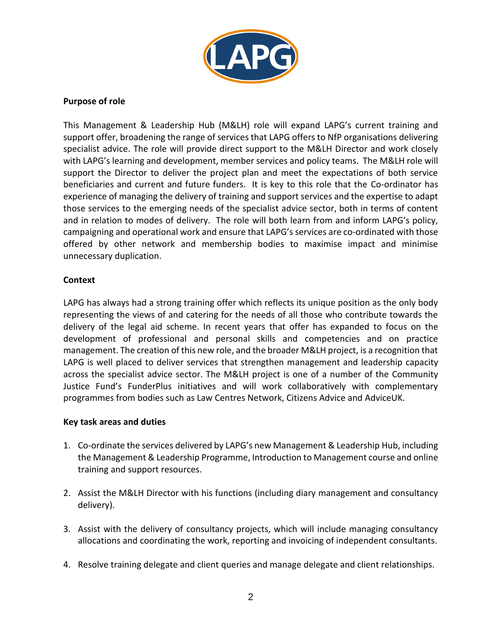

# **Purpose of role**

This Management & Leadership Hub (M&LH) role will expand LAPG's current training and support offer, broadening the range of services that LAPG offers to NfP organisations delivering specialist advice. The role will provide direct support to the M&LH Director and work closely with LAPG's learning and development, member services and policy teams. The M&LH role will support the Director to deliver the project plan and meet the expectations of both service beneficiaries and current and future funders. It is key to this role that the Co-ordinator has experience of managing the delivery of training and support services and the expertise to adapt those services to the emerging needs of the specialist advice sector, both in terms of content and in relation to modes of delivery. The role will both learn from and inform LAPG's policy, campaigning and operational work and ensure that LAPG's services are co-ordinated with those offered by other network and membership bodies to maximise impact and minimise unnecessary duplication.

# **Context**

LAPG has always had a strong training offer which reflects its unique position as the only body representing the views of and catering for the needs of all those who contribute towards the delivery of the legal aid scheme. In recent years that offer has expanded to focus on the development of professional and personal skills and competencies and on practice management. The creation of this new role, and the broader M&LH project, is a recognition that LAPG is well placed to deliver services that strengthen management and leadership capacity across the specialist advice sector. The M&LH project is one of a number of the Community Justice Fund's FunderPlus initiatives and will work collaboratively with complementary programmes from bodies such as Law Centres Network, Citizens Advice and AdviceUK.

# **Key task areas and duties**

- 1. Co-ordinate the services delivered by LAPG's new Management & Leadership Hub, including the Management & Leadership Programme, Introduction to Management course and online training and support resources.
- 2. Assist the M&LH Director with his functions (including diary management and consultancy delivery).
- 3. Assist with the delivery of consultancy projects, which will include managing consultancy allocations and coordinating the work, reporting and invoicing of independent consultants.
- 4. Resolve training delegate and client queries and manage delegate and client relationships.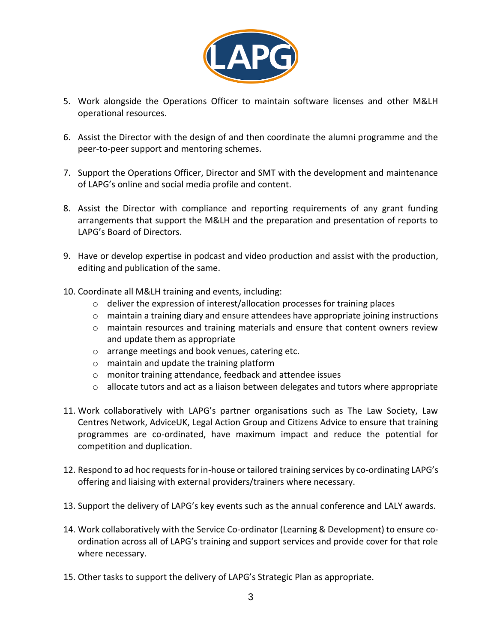

- 5. Work alongside the Operations Officer to maintain software licenses and other M&LH operational resources.
- 6. Assist the Director with the design of and then coordinate the alumni programme and the peer-to-peer support and mentoring schemes.
- 7. Support the Operations Officer, Director and SMT with the development and maintenance of LAPG's online and social media profile and content.
- 8. Assist the Director with compliance and reporting requirements of any grant funding arrangements that support the M&LH and the preparation and presentation of reports to LAPG's Board of Directors.
- 9. Have or develop expertise in podcast and video production and assist with the production, editing and publication of the same.
- 10. Coordinate all M&LH training and events, including:
	- o deliver the expression of interest/allocation processes for training places
	- o maintain a training diary and ensure attendees have appropriate joining instructions
	- $\circ$  maintain resources and training materials and ensure that content owners review and update them as appropriate
	- o arrange meetings and book venues, catering etc.
	- o maintain and update the training platform
	- o monitor training attendance, feedback and attendee issues
	- $\circ$  allocate tutors and act as a liaison between delegates and tutors where appropriate
- 11. Work collaboratively with LAPG's partner organisations such as The Law Society, Law Centres Network, AdviceUK, Legal Action Group and Citizens Advice to ensure that training programmes are co-ordinated, have maximum impact and reduce the potential for competition and duplication.
- 12. Respond to ad hoc requests for in-house or tailored training services by co-ordinating LAPG's offering and liaising with external providers/trainers where necessary.
- 13. Support the delivery of LAPG's key events such as the annual conference and LALY awards.
- 14. Work collaboratively with the Service Co-ordinator (Learning & Development) to ensure coordination across all of LAPG's training and support services and provide cover for that role where necessary.
- 15. Other tasks to support the delivery of LAPG's Strategic Plan as appropriate.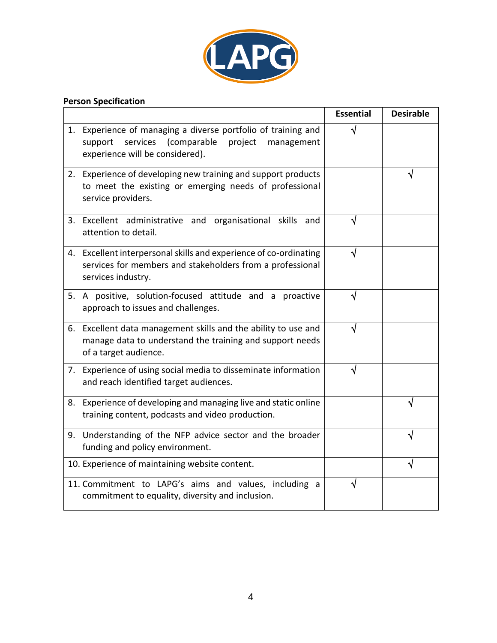

# **Person Specification**

|    |                                                                                                                                                                 | <b>Essential</b> | <b>Desirable</b> |
|----|-----------------------------------------------------------------------------------------------------------------------------------------------------------------|------------------|------------------|
|    | 1. Experience of managing a diverse portfolio of training and<br>services<br>(comparable<br>project<br>support<br>management<br>experience will be considered). |                  |                  |
|    | 2. Experience of developing new training and support products<br>to meet the existing or emerging needs of professional<br>service providers.                   |                  |                  |
| 3. | Excellent administrative and organisational skills and<br>attention to detail.                                                                                  | J                |                  |
|    | 4. Excellent interpersonal skills and experience of co-ordinating<br>services for members and stakeholders from a professional<br>services industry.            |                  |                  |
|    | 5. A positive, solution-focused attitude and a proactive<br>approach to issues and challenges.                                                                  |                  |                  |
|    | 6. Excellent data management skills and the ability to use and<br>manage data to understand the training and support needs<br>of a target audience.             |                  |                  |
|    | 7. Experience of using social media to disseminate information<br>and reach identified target audiences.                                                        | J                |                  |
|    | 8. Experience of developing and managing live and static online<br>training content, podcasts and video production.                                             |                  |                  |
|    | 9. Understanding of the NFP advice sector and the broader<br>funding and policy environment.                                                                    |                  |                  |
|    | 10. Experience of maintaining website content.                                                                                                                  |                  |                  |
|    | 11. Commitment to LAPG's aims and values, including a<br>commitment to equality, diversity and inclusion.                                                       | V                |                  |